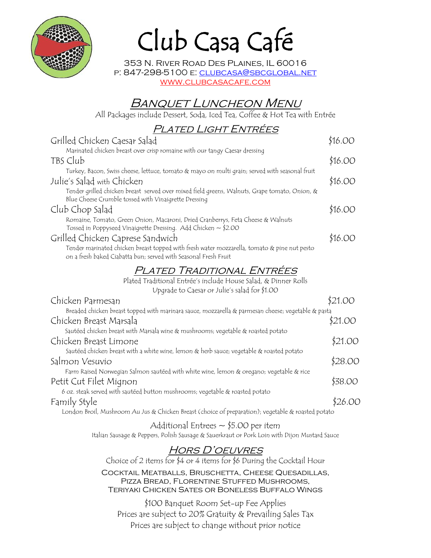

# Club Casa Café

353 N. River Road Des Plaines, IL 60016 p: 847-298-5100 e: clubcasa@sbcglobal.net www.clubcasacafe.com

# Banquet Luncheon Menu

All Packages include Dessert, Soda, Iced Tea, Coffee & Hot Tea with Entrée

# Plated Light Entrées

| Grilled Chicken Caesar Salad                                                                                                                                   | \$16.00 |
|----------------------------------------------------------------------------------------------------------------------------------------------------------------|---------|
| Marinated chicken breast over crisp romaine with our tangy Caesar dressing                                                                                     |         |
| TBS Club                                                                                                                                                       | \$16.00 |
| Turkey, Bacon, Swiss cheese, lettuce, tomato & mayo on multi grain; served with seasonal fruit                                                                 |         |
| Julie's Salad with Chicken                                                                                                                                     | \$16.00 |
| Tender grilled chicken breast served over mixed field greens, Walnuts, Grape tomato, Onion, &<br>Blue Cheese Crumble tossed with Vinaigrette Dressing          |         |
| Club Chop Salad                                                                                                                                                | \$16.OO |
| Romaine, Tomato, Green Onion, Macaroni, Dried Cranberrys, Feta Cheese & Walnuts<br>Tossed in Poppyseed Vinaigrette Dressing. Add Chicken $\sim$ \$2.00         |         |
| Grilled Chicken Caprese Sandwich                                                                                                                               | \$16.00 |
| Tender marinated chicken breast topped with fresh water mozzarella, tomato & pine nut pesto<br>on a fresh baked Ciabatta bun; served with Seasonal Fresh Fruit |         |
| PLATED TRADITIONAL ENTRÉES                                                                                                                                     |         |
| Plated Traditional Entrée's include House Salad, & Dinner Rolls                                                                                                |         |
| Upgrade to Caesar or Julie's salad for \$1.00                                                                                                                  |         |
| Chicken Parmesan                                                                                                                                               | \$21.00 |
| Breaded chicken breast topped with marinara sauce, mozzarella & parmesan cheese; vegetable & pasta                                                             |         |
| Chicken Breast Marsala                                                                                                                                         | \$21.OO |
| Sautéed chicken breast with Marsala wine & mushrooms; vegetable & roasted potato                                                                               |         |
| Chicken Breast Limone                                                                                                                                          |         |
| Sautéed chicken breast with a white wine, lemon & herb sauce; vegetable & roasted potato                                                                       |         |

Salmon Vesuvio \$28.00

Petit Cut Filet Mignon **\$38.00** 

Family Style \$26.00 London Broil, Mushroom Au Jus & Chicken Breast (choice of preparation); vegetable & roasted potato

Farm Raised Norwegian Salmon sautéed with white wine, lemon & oregano; vegetable & rice

6 oz. steak served with sautéed button mushrooms; vegetable & roasted potato

# Hors D'oeuvres

Additional Entrees  $\sim$  \$5.00 per item Italian Sausage & Peppers, Polish Sausage & Sauerkraut or Pork Loin with Dijon Mustard Sauce

Choice of 2 items for \$4 or 4 items for \$6 During the Cocktail Hour Cocktail Meatballs, Bruschetta, Cheese Quesadillas, Pizza Bread, Florentine Stuffed Mushrooms, Teriyaki Chicken Sates or Boneless Buffalo Wings

\$100 Banquet Room Set-up Fee Applies Prices are subject to 20% Gratuity & Prevailing Sales Tax Prices are subject to change without prior notice